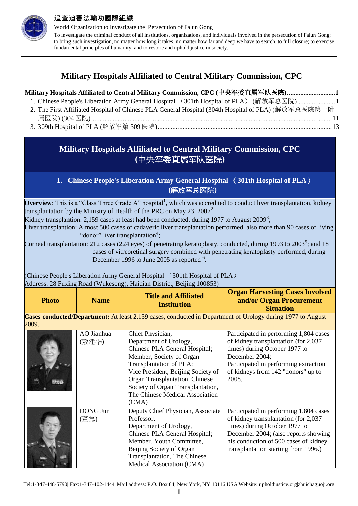

World Organization to Investigate the Persecution of Falun Gong To investigate the criminal conduct of all institutions, organizations, and individuals involved in the persecution of Falun Gong; to bring such investigation, no matter how long it takes, no matter how far and deep we have to search, to full closure; to exercise fundamental principles of humanity; and to restore and uphold justice in society.

# **Military Hospitals Affiliated to Central Military Commission, CPC**

| Military Hospitals Affiliated to Central Military Commission, CPC (中央军委直属军队医院)1                     |  |
|-----------------------------------------------------------------------------------------------------|--|
| 1. Chinese People's Liberation Army General Hospital (301th Hospital of PLA) (解放军总医院)1              |  |
| 2. The First Affiliated Hospital of Chinese PLA General Hospital (304th Hospital of PLA) (解放军总医院第一附 |  |
|                                                                                                     |  |
|                                                                                                     |  |

# <span id="page-0-0"></span>**Military Hospitals Affiliated to Central Military Commission, CPC (**中央军委直属军队医院**)**

### **1. Chinese People's Liberation Army General Hospital** (**301th Hospital of PLA**) **(**解放军总医院**)**

<span id="page-0-1"></span>**Overview**: This is a "Class Three Grade A" hospital<sup>1</sup>, which was accredited to conduct liver transplantation, kidney transplantation by the Ministry of Health of the PRC on May 23, 2007<sup>2</sup>.

Kidney transplantion: 2,159 cases at least had been conducted, during 1977 to August 2009<sup>3</sup>;

Liver transplantion: Almost 500 cases of cadaveric liver transplantation performed, also more than 90 cases of living "donor" liver transplantation<sup>4</sup>;

Corneal transplantation: 212 cases (224 eyes) of penetrating keratoplasty, conducted, during 1993 to 2003<sup>5</sup>; and 18 cases of vitreoretinal surgery combined with penetrating keratoplasty performed, during December 1996 to June 2005 as reported <sup>6</sup>.

(Chinese People's Liberation Army General Hospital (301th Hospital of PLA) Address: 28 Fuxing Road (Wukesong), Haidian District, Beijing 100853)

|  | <b>Name</b><br><b>Photo</b> | <b>Title and Affiliated</b> | <b>Organ Harvesting Cases Involved</b>       |
|--|-----------------------------|-----------------------------|----------------------------------------------|
|  |                             | <b>Institution</b>          | and/or Organ Procurement<br><b>Situation</b> |

**Cases conducted/Department:** At least 2,159 cases, conducted in Department of Urology during 1977 to August 2009.

|                | AO Jianhua      | Chief Physician,                     | Participated in performing 1,804 cases |
|----------------|-----------------|--------------------------------------|----------------------------------------|
|                | (敖建华)           | Department of Urology,               | of kidney transplantation (for 2,037   |
|                |                 | Chinese PLA General Hospital;        | times) during October 1977 to          |
|                |                 | Member, Society of Organ             | December 2004;                         |
|                |                 | Transplantation of PLA;              | Participated in performing extraction  |
|                |                 | Vice President, Beijing Society of   | of kidneys from 142 "donors" up to     |
| <b>Barrett</b> |                 | Organ Transplantation, Chinese       | 2008.                                  |
|                |                 | Society of Organ Transplantation,    |                                        |
|                |                 | The Chinese Medical Association      |                                        |
|                |                 | (CMA)                                |                                        |
|                | <b>DONG Jun</b> | Deputy Chief Physician, Associate    | Participated in performing 1,804 cases |
|                | (董隽)            | Professor,                           | of kidney transplantation (for 2,037   |
|                |                 | Department of Urology,               | times) during October 1977 to          |
|                |                 | Chinese PLA General Hospital;        | December 2004; (also reports showing   |
|                |                 | Member, Youth Committee,             | his conduction of 500 cases of kidney  |
|                |                 | Beijing Society of Organ             | transplantation starting from 1996.)   |
|                |                 | <b>Transplantation</b> , The Chinese |                                        |
|                |                 | Medical Association (CMA)            |                                        |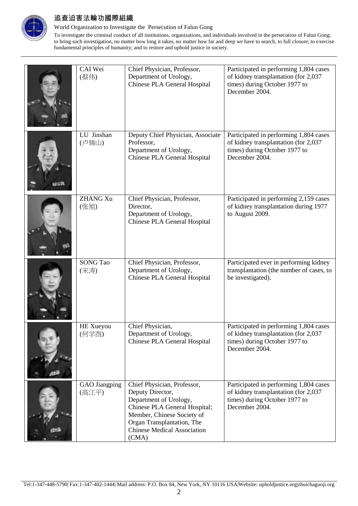

World Organization to Investigate the Persecution of Falun Gong

| CAI Wei<br>(蔡伟)               | Chief Physician, Professor,<br>Department of Urology,<br>Chinese PLA General Hospital                                                                                                                                 | Participated in performing 1,804 cases<br>of kidney transplantation (for 2,037<br>times) during October 1977 to<br>December 2004. |
|-------------------------------|-----------------------------------------------------------------------------------------------------------------------------------------------------------------------------------------------------------------------|-----------------------------------------------------------------------------------------------------------------------------------|
| LU Jinshan<br>(卢锦山)           | Deputy Chief Physician, Associate<br>Professor,<br>Department of Urology,<br>Chinese PLA General Hospital                                                                                                             | Participated in performing 1,804 cases<br>of kidney transplantation (for 2,037<br>times) during October 1977 to<br>December 2004. |
| <b>ZHANG Xu</b><br>(张旭)       | Chief Physician, Professor,<br>Director,<br>Department of Urology,<br>Chinese PLA General Hospital                                                                                                                    | Participated in performing 2,159 cases<br>of kidney transplantation during 1977<br>to August 2009.                                |
| <b>SONG Tao</b><br>(宋涛)       | Chief Physician, Professor,<br>Department of Urology,<br>Chinese PLA General Hospital                                                                                                                                 | Participated ever in performing kidney<br>transplantation (the number of cases, to<br>be investigated).                           |
| <b>HE</b> Xueyou<br>(何学酉)     | Chief Physician,<br>Department of Urology,<br>Chinese PLA General Hospital                                                                                                                                            | Participated in performing 1,804 cases<br>of kidney transplantation (for 2,037<br>times) during October 1977 to<br>December 2004. |
| <b>GAO</b> Jiangping<br>(高江平) | Chief Physician, Professor,<br>Deputy Director,<br>Department of Urology,<br>Chinese PLA General Hospital;<br>Member, Chinese Society of<br>Organ Transplantation, The<br><b>Chinese Medical Association</b><br>(CMA) | Participated in performing 1,804 cases<br>of kidney transplantation (for 2,037<br>times) during October 1977 to<br>December 2004. |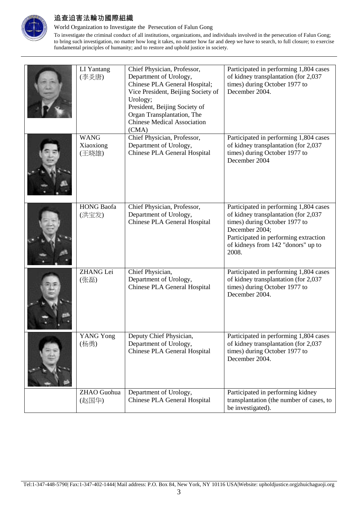

World Organization to Investigate the Persecution of Falun Gong

| LI Yantang<br>(李炎唐)               | Chief Physician, Professor,<br>Department of Urology,<br>Chinese PLA General Hospital;<br>Vice President, Beijing Society of<br>Urology;<br>President, Beijing Society of<br>Organ Transplantation, The<br><b>Chinese Medical Association</b><br>(CMA) | Participated in performing 1,804 cases<br>of kidney transplantation (for 2,037<br>times) during October 1977 to<br>December 2004.                                                                                         |
|-----------------------------------|--------------------------------------------------------------------------------------------------------------------------------------------------------------------------------------------------------------------------------------------------------|---------------------------------------------------------------------------------------------------------------------------------------------------------------------------------------------------------------------------|
| <b>WANG</b><br>Xiaoxiong<br>(王晓雄) | Chief Physician, Professor,<br>Department of Urology,<br>Chinese PLA General Hospital                                                                                                                                                                  | Participated in performing 1,804 cases<br>of kidney transplantation (for 2,037<br>times) during October 1977 to<br>December 2004                                                                                          |
| <b>HONG Baofa</b><br>(洪宝发)        | Chief Physician, Professor,<br>Department of Urology,<br>Chinese PLA General Hospital                                                                                                                                                                  | Participated in performing 1,804 cases<br>of kidney transplantation (for 2,037<br>times) during October 1977 to<br>December 2004;<br>Participated in performing extraction<br>of kidneys from 142 "donors" up to<br>2008. |
| ZHANG Lei<br>(张磊)                 | Chief Physician,<br>Department of Urology,<br>Chinese PLA General Hospital                                                                                                                                                                             | Participated in performing 1,804 cases<br>of kidney transplantation (for 2,037<br>times) during October 1977 to<br>December 2004.                                                                                         |
| <b>YANG Yong</b><br>(杨勇)          | Deputy Chief Physician,<br>Department of Urology,<br>Chinese PLA General Hospital                                                                                                                                                                      | Participated in performing 1,804 cases<br>of kidney transplantation (for 2,037<br>times) during October 1977 to<br>December 2004.                                                                                         |
| ZHAO Guohua<br>(赵国华)              | Department of Urology,<br>Chinese PLA General Hospital                                                                                                                                                                                                 | Participated in performing kidney<br>transplantation (the number of cases, to<br>be investigated).                                                                                                                        |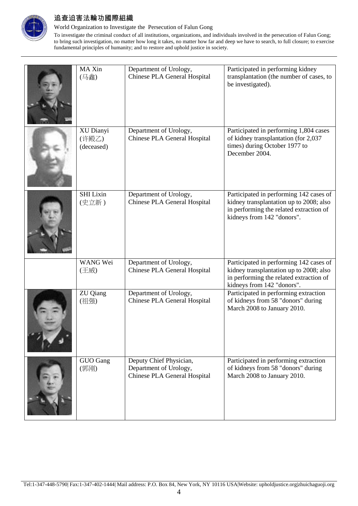

World Organization to Investigate the Persecution of Falun Gong

| MA Xin<br>(马鑫)                   | Department of Urology,<br>Chinese PLA General Hospital                            | Participated in performing kidney<br>transplantation (the number of cases, to<br>be investigated).                                                          |
|----------------------------------|-----------------------------------------------------------------------------------|-------------------------------------------------------------------------------------------------------------------------------------------------------------|
| XU Dianyi<br>(许殿乙)<br>(deceased) | Department of Urology,<br>Chinese PLA General Hospital                            | Participated in performing 1,804 cases<br>of kidney transplantation (for 2,037<br>times) during October 1977 to<br>December 2004.                           |
| <b>SHI Lixin</b><br>(史立新)        | Department of Urology,<br>Chinese PLA General Hospital                            | Participated in performing 142 cases of<br>kidney transplantation up to 2008; also<br>in performing the related extraction of<br>kidneys from 142 "donors". |
| WANG Wei<br>(王威)                 | Department of Urology,<br>Chinese PLA General Hospital                            | Participated in performing 142 cases of<br>kidney transplantation up to 2008; also<br>in performing the related extraction of<br>kidneys from 142 "donors". |
| ZU Qiang<br>(祖强)                 | Department of Urology,<br>Chinese PLA General Hospital                            | Participated in performing extraction<br>of kidneys from 58 "donors" during<br>March 2008 to January 2010.                                                  |
| GUO Gang<br>(郭刚)                 | Deputy Chief Physician,<br>Department of Urology,<br>Chinese PLA General Hospital | Participated in performing extraction<br>of kidneys from 58 "donors" during<br>March 2008 to January 2010.                                                  |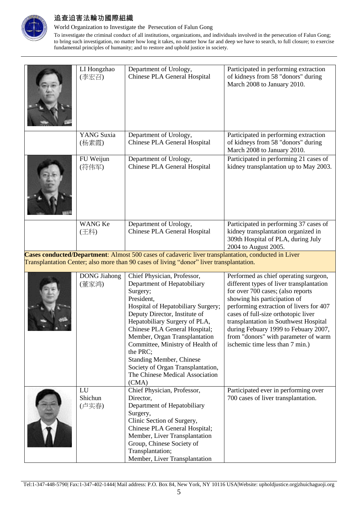

World Organization to Investigate the Persecution of Falun Gong

| LI Hongzhao<br>(李宏召)         | Department of Urology,<br>Chinese PLA General Hospital                                                                                                                                                                                                                                                                                                                                                                             | Participated in performing extraction<br>of kidneys from 58 "donors" during<br>March 2008 to January 2010.                                                                                                                                                                                                                                                                                           |
|------------------------------|------------------------------------------------------------------------------------------------------------------------------------------------------------------------------------------------------------------------------------------------------------------------------------------------------------------------------------------------------------------------------------------------------------------------------------|------------------------------------------------------------------------------------------------------------------------------------------------------------------------------------------------------------------------------------------------------------------------------------------------------------------------------------------------------------------------------------------------------|
| <b>YANG</b> Suxia<br>(杨素霞)   | Department of Urology,<br>Chinese PLA General Hospital                                                                                                                                                                                                                                                                                                                                                                             | Participated in performing extraction<br>of kidneys from 58 "donors" during<br>March 2008 to January 2010.                                                                                                                                                                                                                                                                                           |
| FU Weijun<br>(符伟军)           | Department of Urology,<br>Chinese PLA General Hospital                                                                                                                                                                                                                                                                                                                                                                             | Participated in performing 21 cases of<br>kidney transplantation up to May 2003.                                                                                                                                                                                                                                                                                                                     |
| <b>WANG Ke</b><br>(王科)       | Department of Urology,<br>Chinese PLA General Hospital                                                                                                                                                                                                                                                                                                                                                                             | Participated in performing 37 cases of<br>kidney transplantation organized in<br>309th Hospital of PLA, during July<br>2004 to August 2005.                                                                                                                                                                                                                                                          |
|                              | Cases conducted/Department: Almost 500 cases of cadaveric liver transplantation, conducted in Liver<br>Transplantation Center; also more than 90 cases of living "donor" liver transplantation.                                                                                                                                                                                                                                    |                                                                                                                                                                                                                                                                                                                                                                                                      |
| <b>DONG</b> Jiahong<br>(董家鸿) | Chief Physician, Professor,<br>Department of Hepatobiliary<br>Surgery;<br>President,<br>Hospital of Hepatobiliary Surgery;<br>Deputy Director, Institute of<br>Hepatobiliary Surgery of PLA,<br>Chinese PLA General Hospital;<br>Member, Organ Transplantation<br>Committee, Ministry of Health of<br>the PRC;<br><b>Standing Member, Chinese</b><br>Society of Organ Transplantation,<br>The Chinese Medical Association<br>(CMA) | Performed as chief operating surgeon,<br>different types of liver transplantation<br>for over 700 cases; (also reports<br>showing his participation of<br>performing extraction of livers for 407<br>cases of full-size orthotopic liver<br>transplantation in Southwest Hospital<br>during Febuary 1999 to Febuary 2007,<br>from "donors" with parameter of warm<br>ischemic time less than 7 min.) |
| LU<br>Shichun<br>(卢实春)       | Chief Physician, Professor,<br>Director,<br>Department of Hepatobiliary<br>Surgery,<br>Clinic Section of Surgery,<br>Chinese PLA General Hospital;<br>Member, Liver Transplantation<br>Group, Chinese Society of<br>Transplantation;<br>Member, Liver Transplantation                                                                                                                                                              | Participated ever in performing over<br>700 cases of liver transplantation.                                                                                                                                                                                                                                                                                                                          |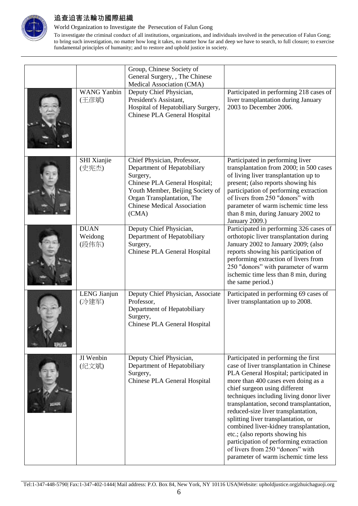

World Organization to Investigate the Persecution of Falun Gong

|                                 | Group, Chinese Society of<br>General Surgery, , The Chinese<br>Medical Association (CMA)                                                                                                                                 |                                                                                                                                                                                                                                                                                                                                                                                                                                                                                                                                                                           |
|---------------------------------|--------------------------------------------------------------------------------------------------------------------------------------------------------------------------------------------------------------------------|---------------------------------------------------------------------------------------------------------------------------------------------------------------------------------------------------------------------------------------------------------------------------------------------------------------------------------------------------------------------------------------------------------------------------------------------------------------------------------------------------------------------------------------------------------------------------|
| <b>WANG Yanbin</b><br>(王彦斌)     | Deputy Chief Physician,<br>President's Assistant,<br>Hospital of Hepatobiliary Surgery,<br>Chinese PLA General Hospital                                                                                                  | Participated in performing 218 cases of<br>liver transplantation during January<br>2003 to December 2006.                                                                                                                                                                                                                                                                                                                                                                                                                                                                 |
| SHI Xianjie<br>(史宪杰)            | Chief Physician, Professor,<br>Department of Hepatobiliary<br>Surgery,<br>Chinese PLA General Hospital;<br>Youth Member, Beijing Society of<br>Organ Transplantation, The<br><b>Chinese Medical Association</b><br>(CMA) | Participated in performing liver<br>transplantation from 2000; in 500 cases<br>of living liver transplantation up to<br>present; (also reports showing his<br>participation of performing extraction<br>of livers from 250 "donors" with<br>parameter of warm ischemic time less<br>than 8 min, during January 2002 to<br>January 2009.)                                                                                                                                                                                                                                  |
| <b>DUAN</b><br>Weidong<br>(段伟东) | Deputy Chief Physician,<br>Department of Hepatobiliary<br>Surgery,<br>Chinese PLA General Hospital                                                                                                                       | Participated in performing 326 cases of<br>orthotopic liver transplantation during<br>January 2002 to January 2009; (also<br>reports showing his participation of<br>performing extraction of livers from<br>250 "donors" with parameter of warm<br>ischemic time less than 8 min, during<br>the same period.)                                                                                                                                                                                                                                                            |
| LENG Jianjun<br>(冷建军)           | Deputy Chief Physician, Associate<br>Professor,<br>Department of Hepatobiliary<br>Surgery,<br>Chinese PLA General Hospital                                                                                               | Participated in performing 69 cases of<br>liver transplantation up to 2008.                                                                                                                                                                                                                                                                                                                                                                                                                                                                                               |
| JI Wenbin<br>(纪文斌)              | Deputy Chief Physician,<br>Department of Hepatobiliary<br>Surgery,<br>Chinese PLA General Hospital                                                                                                                       | Participated in performing the first<br>case of liver transplantation in Chinese<br>PLA General Hospital; participated in<br>more than 400 cases even doing as a<br>chief surgeon using different<br>techniques including living donor liver<br>transplantation, second transplantation,<br>reduced-size liver transplantation,<br>splitting liver transplantation, or<br>combined liver-kidney transplantation,<br>etc.; (also reports showing his<br>participation of performing extraction<br>of livers from 250 "donors" with<br>parameter of warm ischemic time less |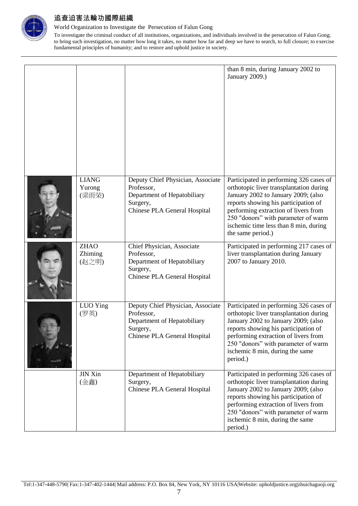

World Organization to Investigate the Persecution of Falun Gong

|                                 |                                                                                                                            | than 8 min, during January 2002 to<br>January 2009.)                                                                                                                                                                                                                                                           |
|---------------------------------|----------------------------------------------------------------------------------------------------------------------------|----------------------------------------------------------------------------------------------------------------------------------------------------------------------------------------------------------------------------------------------------------------------------------------------------------------|
| <b>LIANG</b><br>Yurong<br>(梁雨荣) | Deputy Chief Physician, Associate<br>Professor,<br>Department of Hepatobiliary<br>Surgery,<br>Chinese PLA General Hospital | Participated in performing 326 cases of<br>orthotopic liver transplantation during<br>January 2002 to January 2009; (also<br>reports showing his participation of<br>performing extraction of livers from<br>250 "donors" with parameter of warm<br>ischemic time less than 8 min, during<br>the same period.) |
| <b>ZHAO</b><br>Zhiming<br>(赵之明) | Chief Physician, Associate<br>Professor,<br>Department of Hepatobiliary<br>Surgery,<br>Chinese PLA General Hospital        | Participated in performing 217 cases of<br>liver transplantation during January<br>2007 to January 2010.                                                                                                                                                                                                       |
| LUO Ying<br>(罗英)                | Deputy Chief Physician, Associate<br>Professor,<br>Department of Hepatobiliary<br>Surgery,<br>Chinese PLA General Hospital | Participated in performing 326 cases of<br>orthotopic liver transplantation during<br>January 2002 to January 2009; (also<br>reports showing his participation of<br>performing extraction of livers from<br>250 "donors" with parameter of warm<br>ischemic 8 min, during the same<br>period.)                |
| <b>JIN Xin</b><br>(金鑫)          | Department of Hepatobiliary<br>Surgery,<br>Chinese PLA General Hospital                                                    | Participated in performing 326 cases of<br>orthotopic liver transplantation during<br>January 2002 to January 2009; (also<br>reports showing his participation of<br>performing extraction of livers from<br>250 "donors" with parameter of warm<br>ischemic 8 min, during the same<br>period.)                |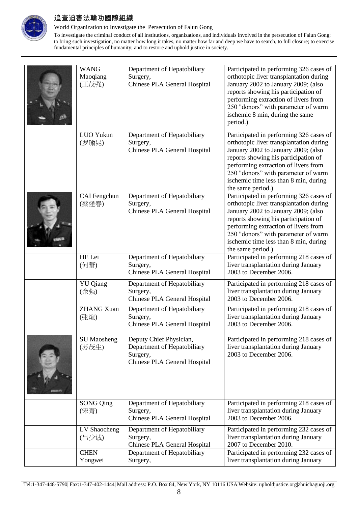

World Organization to Investigate the Persecution of Falun Gong

| <b>WANG</b><br>Maoqiang<br>(王茂强) | Department of Hepatobiliary<br>Surgery,<br>Chinese PLA General Hospital                            | Participated in performing 326 cases of<br>orthotopic liver transplantation during<br>January 2002 to January 2009; (also<br>reports showing his participation of<br>performing extraction of livers from<br>250 "donors" with parameter of warm<br>ischemic 8 min, during the same<br>period.)                |
|----------------------------------|----------------------------------------------------------------------------------------------------|----------------------------------------------------------------------------------------------------------------------------------------------------------------------------------------------------------------------------------------------------------------------------------------------------------------|
| LUO Yukun<br>(罗瑜昆)               | Department of Hepatobiliary<br>Surgery,<br>Chinese PLA General Hospital                            | Participated in performing 326 cases of<br>orthotopic liver transplantation during<br>January 2002 to January 2009; (also<br>reports showing his participation of<br>performing extraction of livers from<br>250 "donors" with parameter of warm<br>ischemic time less than 8 min, during<br>the same period.) |
| CAI Fengchun<br>(蔡逢春)            | Department of Hepatobiliary<br>Surgery,<br>Chinese PLA General Hospital                            | Participated in performing 326 cases of<br>orthotopic liver transplantation during<br>January 2002 to January 2009; (also<br>reports showing his participation of<br>performing extraction of livers from<br>250 "donors" with parameter of warm<br>ischemic time less than 8 min, during<br>the same period.) |
| HE Lei<br>(何蕾)                   | Department of Hepatobiliary<br>Surgery,<br>Chinese PLA General Hospital                            | Participated in performing 218 cases of<br>liver transplantation during January<br>2003 to December 2006.                                                                                                                                                                                                      |
| <b>YU</b> Qiang<br>(余强)          | Department of Hepatobiliary<br>Surgery,<br>Chinese PLA General Hospital                            | Participated in performing 218 cases of<br>liver transplantation during January<br>2003 to December 2006.                                                                                                                                                                                                      |
| <b>ZHANG Xuan</b><br>(张煊)        | Department of Hepatobiliary<br>Surgery,<br>Chinese PLA General Hospital                            | Participated in performing 218 cases of<br>liver transplantation during January<br>2003 to December 2006.                                                                                                                                                                                                      |
| <b>SU</b> Maosheng<br>(苏茂生)      | Deputy Chief Physician,<br>Department of Hepatobiliary<br>Surgery,<br>Chinese PLA General Hospital | Participated in performing 218 cases of<br>liver transplantation during January<br>2003 to December 2006.                                                                                                                                                                                                      |
| <b>SONG Qing</b><br>(宋青)         | Department of Hepatobiliary<br>Surgery,<br>Chinese PLA General Hospital                            | Participated in performing 218 cases of<br>liver transplantation during January<br>2003 to December 2006.                                                                                                                                                                                                      |
| LV Shaocheng<br>(吕少诚)            | Department of Hepatobiliary<br>Surgery,<br>Chinese PLA General Hospital                            | Participated in performing 232 cases of<br>liver transplantation during January<br>2007 to December 2010.                                                                                                                                                                                                      |
| <b>CHEN</b><br>Yongwei           | Department of Hepatobiliary<br>Surgery,                                                            | Participated in performing 232 cases of<br>liver transplantation during January                                                                                                                                                                                                                                |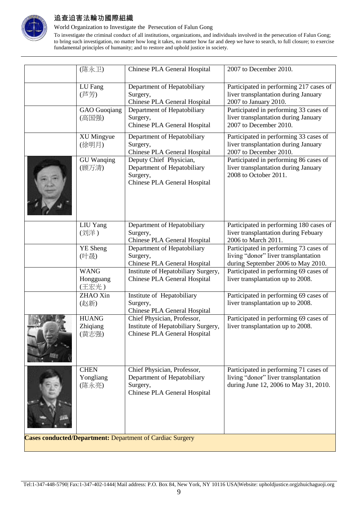

World Organization to Investigate the Persecution of Falun Gong

|                                                                  | (陈永卫)                             | Chinese PLA General Hospital                                                                           | 2007 to December 2010.                                                                                                  |  |
|------------------------------------------------------------------|-----------------------------------|--------------------------------------------------------------------------------------------------------|-------------------------------------------------------------------------------------------------------------------------|--|
|                                                                  | LU Fang<br>(芦芳)                   | Department of Hepatobiliary<br>Surgery,<br>Chinese PLA General Hospital                                | Participated in performing 217 cases of<br>liver transplantation during January<br>2007 to January 2010.                |  |
|                                                                  | <b>GAO</b> Guoqiang<br>(高国强)      | Department of Hepatobiliary<br>Surgery,<br>Chinese PLA General Hospital                                | Participated in performing 33 cases of<br>liver transplantation during January<br>2007 to December 2010.                |  |
|                                                                  | <b>XU Mingyue</b><br>(徐明月)        | Department of Hepatobiliary<br>Surgery,<br>Chinese PLA General Hospital                                | Participated in performing 33 cases of<br>liver transplantation during January<br>2007 to December 2010.                |  |
|                                                                  | <b>GU</b> Wanqing<br>(顾万清)        | Deputy Chief Physician,<br>Department of Hepatobiliary<br>Surgery,<br>Chinese PLA General Hospital     | Participated in performing 86 cases of<br>liver transplantation during January<br>2008 to October 2011.                 |  |
|                                                                  | LIU Yang<br>(刘洋)                  | Department of Hepatobiliary<br>Surgery,<br>Chinese PLA General Hospital                                | Participated in performing 180 cases of<br>liver transplantation during Febuary<br>2006 to March 2011.                  |  |
|                                                                  | <b>YE</b> Sheng<br>(叶晟)           | Department of Hepatobiliary<br>Surgery,<br>Chinese PLA General Hospital                                | Participated in performing 73 cases of<br>living "donor" liver transplantation<br>during September 2006 to May 2010.    |  |
|                                                                  | <b>WANG</b><br>Hongguang<br>(王宏光) | Institute of Hepatobiliary Surgery,<br>Chinese PLA General Hospital                                    | Participated in performing 69 cases of<br>liver transplantation up to 2008.                                             |  |
|                                                                  | ZHAO Xin<br>(赵新)                  | Institute of Hepatobiliary<br>Surgery,<br>Chinese PLA General Hospital                                 | Participated in performing 69 cases of<br>liver transplantation up to 2008.                                             |  |
|                                                                  | <b>HUANG</b><br>Zhiqiang<br>(黄志强) | Chief Physician, Professor,<br>Institute of Hepatobiliary Surgery,<br>Chinese PLA General Hospital     | Participated in performing 69 cases of<br>liver transplantation up to 2008.                                             |  |
|                                                                  | <b>CHEN</b><br>Yongliang<br>(陈永亮) | Chief Physician, Professor,<br>Department of Hepatobiliary<br>Surgery,<br>Chinese PLA General Hospital | Participated in performing 71 cases of<br>living "donor" liver transplantation<br>during June 12, 2006 to May 31, 2010. |  |
| <b>Cases conducted/Department: Department of Cardiac Surgery</b> |                                   |                                                                                                        |                                                                                                                         |  |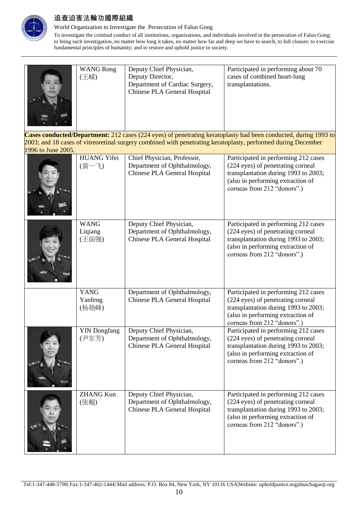

World Organization to Investigate the Persecution of Falun Gong

|                    | <b>WANG Rong</b><br>(王嵘)        | Deputy Chief Physician,<br>Deputy Director,<br>Department of Cardiac Surgery,<br>Chinese PLA General Hospital | Participated in performing about 70<br>cases of combined heart-lung<br>transplantations.                                                                                                                                         |
|--------------------|---------------------------------|---------------------------------------------------------------------------------------------------------------|----------------------------------------------------------------------------------------------------------------------------------------------------------------------------------------------------------------------------------|
| 1996 to June 2005. |                                 |                                                                                                               | Cases conducted/Department: 212 cases (224 eyes) of penetrating keratoplasty had been conducted, during 1993 to<br>2003; and 18 cases of vitreoretinal surgery combined with penetrating keratoplasty, performed during December |
|                    | <b>HUANG Yifei</b><br>(黄一飞)     | Chief Physician, Professor,<br>Department of Ophthalmology,<br>Chinese PLA General Hospital                   | Participated in performing 212 cases<br>(224 eyes) of penetrating corneal<br>transplantation during 1993 to 2003;<br>(also in performing extraction of<br>corneas from 212 "donors".)                                            |
|                    | <b>WANG</b><br>Liqiang<br>(王丽强) | Deputy Chief Physician,<br>Department of Ophthalmology,<br>Chinese PLA General Hospital                       | Participated in performing 212 cases<br>(224 eyes) of penetrating corneal<br>transplantation during 1993 to 2003;<br>(also in performing extraction of<br>corneas from 212 "donors".)                                            |
|                    | <b>YANG</b><br>Yanfeng<br>(杨艳峰) | Department of Ophthalmology,<br>Chinese PLA General Hospital                                                  | Participated in performing 212 cases<br>(224 eyes) of penetrating corneal<br>transplantation during 1993 to 2003;<br>(also in performing extraction of<br>corneas from 212 "donors".)                                            |
|                    | <b>YIN</b> Dongfang<br>(尹东芳)    | Deputy Chief Physician,<br>Department of Ophthalmology,<br>Chinese PLA General Hospital                       | Participated in performing 212 cases<br>(224 eyes) of penetrating corneal<br>transplantation during 1993 to 2003;<br>(also in performing extraction of<br>corneas from 212 "donors".)                                            |
|                    | <b>ZHANG Kun</b><br>(张鲲)        | Deputy Chief Physician,<br>Department of Ophthalmology,<br>Chinese PLA General Hospital                       | Participated in performing 212 cases<br>(224 eyes) of penetrating corneal<br>transplantation during 1993 to 2003;<br>(also in performing extraction of<br>corneas from 212 "donors".)                                            |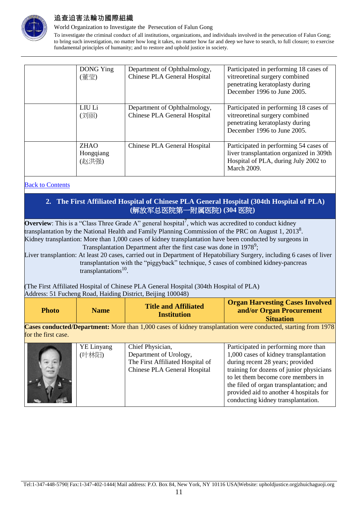

World Organization to Investigate the Persecution of Falun Gong

To investigate the criminal conduct of all institutions, organizations, and individuals involved in the persecution of Falun Gong; to bring such investigation, no matter how long it takes, no matter how far and deep we have to search, to full closure; to exercise fundamental principles of humanity; and to restore and uphold justice in society.

| DONG Ying<br>(董莹)                 | Department of Ophthalmology,<br>Chinese PLA General Hospital | Participated in performing 18 cases of<br>vitreoretinal surgery combined<br>penetrating keratoplasty during<br>December 1996 to June 2005.       |
|-----------------------------------|--------------------------------------------------------------|--------------------------------------------------------------------------------------------------------------------------------------------------|
| LIU Li<br>(刘丽)                    | Department of Ophthalmology,<br>Chinese PLA General Hospital | Participated in performing 18 cases of<br>vitreoretinal surgery combined<br>penetrating keratoplasty during<br>December 1996 to June 2005.       |
| <b>ZHAO</b><br>Hongqiang<br>(赵洪强) | Chinese PLA General Hospital                                 | Participated in performing 54 cases of<br>liver transplantation organized in 309th<br>Hospital of PLA, during July 2002 to<br><b>March 2009.</b> |

#### <span id="page-10-0"></span>Back to Contents

### **2. The First Affiliated Hospital of Chinese PLA General Hospital (304th Hospital of PLA) (**解放军总医院第一附属医院**) (304** 医院**)**

**Overview**: This is a "Class Three Grade A" general hospital<sup>7</sup>, which was accredited to conduct kidney transplantation by the National Health and Family Planning Commission of the PRC on August 1, 2013<sup>8</sup>. Kidney transplantion: More than 1,000 cases of kidney transplantation have been conducted by surgeons in Transplantation Department after the first case was done in  $1978^9$ ;

Liver transplantion: At least 20 cases, carried out in Department of Hepatobiliary Surgery, including 6 cases of liver transplantation with the "piggyback" technique, 5 cases of combined kidney-pancreas transplantations<sup>10</sup>.

(The First Affiliated Hospital of Chinese PLA General Hospital (304th Hospital of PLA) Address: 51 Fucheng Road, Haiding District, Beijing 100048)

| <b>Photo</b> | <b>Name</b> | <b>Title and Affiliated</b><br><b>Institution</b> | <b>Organ Harvesting Cases Involved</b> |
|--------------|-------------|---------------------------------------------------|----------------------------------------|
|              |             |                                                   | and/or Organ Procurement               |
|              |             |                                                   | <b>Situation</b>                       |

**Cases conducted/Department:** More than 1,000 cases of kidney transplantation were conducted, starting from 1978 for the first case.

| <b>YE</b> Linyang | Chief Physician,                 | Participated in performing more than     |
|-------------------|----------------------------------|------------------------------------------|
| (叶林阳)             | Department of Urology,           | 1,000 cases of kidney transplantation    |
|                   | The First Affiliated Hospital of | during recent 28 years; provided         |
|                   | Chinese PLA General Hospital     | training for dozens of junior physicians |
|                   |                                  | to let them become core members in       |
|                   |                                  | the filed of organ transplantation; and  |
|                   |                                  | provided aid to another 4 hospitals for  |
|                   |                                  | conducting kidney transplantation.       |
|                   |                                  |                                          |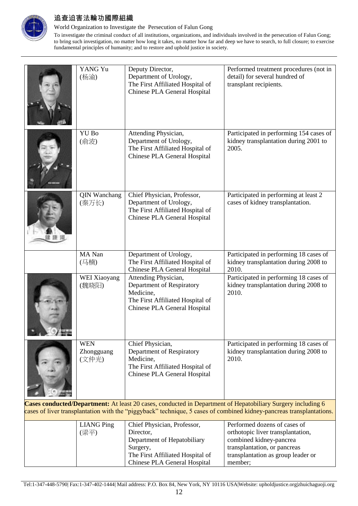

World Organization to Investigate the Persecution of Falun Gong

To investigate the criminal conduct of all institutions, organizations, and individuals involved in the persecution of Falun Gong; to bring such investigation, no matter how long it takes, no matter how far and deep we have to search, to full closure; to exercise fundamental principles of humanity; and to restore and uphold justice in society.

|                                                                                                             | YANG Yu<br>(杨渝)                   | Deputy Director,<br>Department of Urology,<br>The First Affiliated Hospital of<br>Chinese PLA General Hospital                     | Performed treatment procedures (not in<br>detail) for several hundred of<br>transplant recipients. |  |
|-------------------------------------------------------------------------------------------------------------|-----------------------------------|------------------------------------------------------------------------------------------------------------------------------------|----------------------------------------------------------------------------------------------------|--|
|                                                                                                             | YU Bo<br>(俞波)                     | Attending Physician,<br>Department of Urology,<br>The First Affiliated Hospital of<br>Chinese PLA General Hospital                 | Participated in performing 154 cases of<br>kidney transplantation during 2001 to<br>2005.          |  |
|                                                                                                             | <b>QIN Wanchang</b><br>(秦万长)      | Chief Physician, Professor,<br>Department of Urology,<br>The First Affiliated Hospital of<br>Chinese PLA General Hospital          | Participated in performing at least 2<br>cases of kidney transplantation.                          |  |
|                                                                                                             | MA Nan<br>(马楠)                    | Department of Urology,<br>The First Affiliated Hospital of<br>Chinese PLA General Hospital                                         | Participated in performing 18 cases of<br>kidney transplantation during 2008 to<br>2010.           |  |
|                                                                                                             | WEI Xiaoyang<br>(魏晓阳)             | Attending Physician,<br>Department of Respiratory<br>Medicine,<br>The First Affiliated Hospital of<br>Chinese PLA General Hospital | Participated in performing 18 cases of<br>kidney transplantation during 2008 to<br>2010.           |  |
|                                                                                                             | <b>WEN</b><br>Zhongguang<br>(文仲光) | Chief Physician,<br>Department of Respiratory<br>Medicine,<br>The First Affiliated Hospital of<br>Chinese PLA General Hospital     | Participated in performing 18 cases of<br>kidney transplantation during 2008 to<br>2010.           |  |
| Cases conducted/Department: At least 20 cases, conducted in Department of Hepatobiliary Surgery including 6 |                                   |                                                                                                                                    |                                                                                                    |  |

cases of liver transplantation with the "piggyback" technique, 5 cases of combined kidney-pancreas transplantations.

| <b>LIANG</b> Ping | Chief Physician, Professor,      | Performed dozens of cases of       |
|-------------------|----------------------------------|------------------------------------|
| (梁平)              | Director,                        | orthotopic liver transplantation,  |
|                   | Department of Hepatobiliary      | combined kidney-pancrea            |
|                   | Surgery,                         | transplantation, or pancreas       |
|                   | The First Affiliated Hospital of | transplantation as group leader or |
|                   | Chinese PLA General Hospital     | member:                            |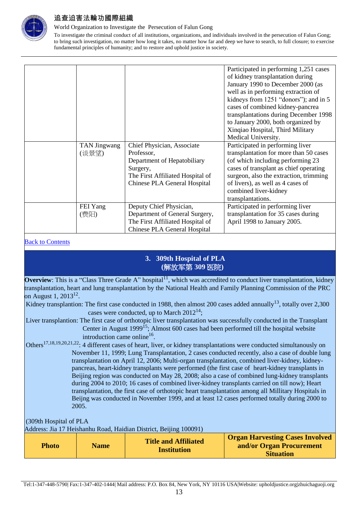

World Organization to Investigate the Persecution of Falun Gong

To investigate the criminal conduct of all institutions, organizations, and individuals involved in the persecution of Falun Gong; to bring such investigation, no matter how long it takes, no matter how far and deep we have to search, to full closure; to exercise fundamental principles of humanity; and to restore and uphold justice in society.

|              |                                  | Participated in performing 1,251 cases |
|--------------|----------------------------------|----------------------------------------|
|              |                                  | of kidney transplantation during       |
|              |                                  | January 1990 to December 2000 (as      |
|              |                                  | well as in performing extraction of    |
|              |                                  | kidneys from 1251 "donors"); and in 5  |
|              |                                  | cases of combined kidney-pancrea       |
|              |                                  | transplantations during December 1998  |
|              |                                  | to January 2000, both organized by     |
|              |                                  | Xinqiao Hospital, Third Military       |
|              |                                  | Medical University.                    |
| TAN Jingwang | Chief Physician, Associate       | Participated in performing liver       |
| (谈景望)        | Professor,                       | transplantation for more than 50 cases |
|              | Department of Hepatobiliary      | (of which including performing 23      |
|              | Surgery,                         | cases of transplant as chief operating |
|              | The First Affiliated Hospital of | surgeon, also the extraction, trimming |
|              | Chinese PLA General Hospital     | of livers), as well as 4 cases of      |
|              |                                  | combined liver-kidney                  |
|              |                                  | transplantations.                      |
| FEI Yang     | Deputy Chief Physician,          | Participated in performing liver       |
| (费阳)         | Department of General Surgery,   | transplantation for 35 cases during    |
|              | The First Affiliated Hospital of | April 1998 to January 2005.            |
|              | Chinese PLA General Hospital     |                                        |

#### <span id="page-12-0"></span>**Back to Contents**

#### **3. 309th Hospital of PLA (**解放军第 **309** 医院**)**

**Overview**: This is a "Class Three Grade A" hospital<sup>11</sup>, which was accredited to conduct liver transplantation, kidney transplantation, heart and lung transplantation by the National Health and Family Planning Commission of the PRC on August 1,  $2013^{12}$ .

Kidney transplantion: The first case conducted in 1988, then almost 200 cases added annually<sup>13</sup>, totally over 2,300 cases were conducted, up to March  $2012^{14}$ ;

Liver transplantion: The first case of orthotopic liver transplantation was successfully conducted in the Transplant Center in August  $1999^{15}$ ; Almost 600 cases had been performed till the hospital website introduction came online<sup>16</sup>.

Others<sup>17,18,19,20,21,22</sup>: 4 different cases of heart, liver, or kidney transplantations were conducted simultanously on November 11, 1999; Lung Transplantation, 2 cases conducted recently, also a case of double lung transplantation on April 12, 2006; Multi-organ transplantation, combined liver-kidney, kidneypancreas, heart-kidney transplants were performed (the first case of heart-kidney transplants in Beijing region was conducted on May 28, 2008; also a case of combined lung-kidney transplants during 2004 to 2010; 16 cases of combined liver-kidney transplants carried on till now); Heart transplantation, the first case of orthotopic heart transplantation among all Millitary Hospitals in Beijng was conducted in November 1999, and at least 12 cases performed totally during 2000 to 2005.

(309th Hospital of PLA

Address: Jia 17 Heishanhu Road, Haidian District, Beijing 100091)

| <b>Title and Affiliated</b><br><b>Name</b><br><b>Photo</b><br><b>Institution</b> | <b>Organ Harvesting Cases Involved</b><br>and/or Organ Procurement<br><b>Situation</b> |
|----------------------------------------------------------------------------------|----------------------------------------------------------------------------------------|
|----------------------------------------------------------------------------------|----------------------------------------------------------------------------------------|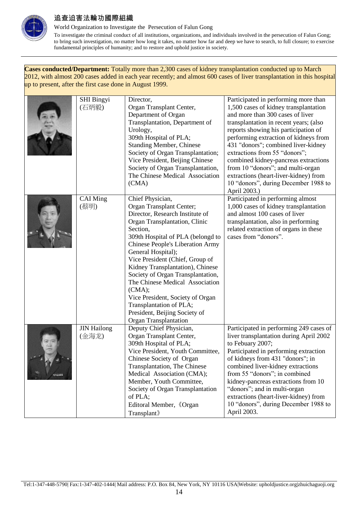

World Organization to Investigate the Persecution of Falun Gong

To investigate the criminal conduct of all institutions, organizations, and individuals involved in the persecution of Falun Gong; to bring such investigation, no matter how long it takes, no matter how far and deep we have to search, to full closure; to exercise fundamental principles of humanity; and to restore and uphold justice in society.

**Cases conducted/Department:** Totally more than 2,300 cases of kidney transplantation conducted up to March 2012, with almost 200 cases added in each year recently; and almost 600 cases of liver transplantation in this hospital up to present, after the first case done in August 1999.

| <b>SHI Bingyi</b><br>(石炳毅)  | Director,<br>Organ Transplant Center,<br>Department of Organ<br>Transplantation, Department of<br>Urology,<br>309th Hospital of PLA;<br><b>Standing Member, Chinese</b><br>Society of Organ Transplantation;<br>Vice President, Beijing Chinese<br>Society of Organ Transplantation,<br>The Chinese Medical Association<br>(CMA)                                                                                                                                                                                            | Participated in performing more than<br>1,500 cases of kidney transplantation<br>and more than 300 cases of liver<br>transplantation in recent years; (also<br>reports showing his participation of<br>performing extraction of kidneys from<br>431 "donors"; combined liver-kidney<br>extractions from 55 "donors";<br>combined kidney-pancreas extractions<br>from 10 "donors"; and multi-organ<br>extractions (heart-liver-kidney) from<br>10 "donors", during December 1988 to<br>April 2003.) |
|-----------------------------|-----------------------------------------------------------------------------------------------------------------------------------------------------------------------------------------------------------------------------------------------------------------------------------------------------------------------------------------------------------------------------------------------------------------------------------------------------------------------------------------------------------------------------|----------------------------------------------------------------------------------------------------------------------------------------------------------------------------------------------------------------------------------------------------------------------------------------------------------------------------------------------------------------------------------------------------------------------------------------------------------------------------------------------------|
| <b>CAI</b> Ming<br>(蔡明)     | Chief Physician,<br>Organ Transplant Center;<br>Director, Research Institute of<br>Organ Transplantation, Clinic<br>Section,<br>309th Hospital of PLA (belongd to<br><b>Chinese People's Liberation Army</b><br>General Hospital);<br>Vice President (Chief, Group of<br>Kidney Transplantation), Chinese<br>Society of Organ Transplantation,<br>The Chinese Medical Association<br>(CMA);<br>Vice President, Society of Organ<br>Transplantation of PLA;<br>President, Beijing Society of<br><b>Organ Transplantation</b> | Participated in performing almost<br>1,000 cases of kidney transplantation<br>and almost 100 cases of liver<br>transplantation, also in performing<br>related extraction of organs in these<br>cases from "donors".                                                                                                                                                                                                                                                                                |
| <b>JIN Hailong</b><br>(金海龙) | Deputy Chief Physician,<br>Organ Transplant Center,<br>309th Hospital of PLA;<br>Vice President, Youth Committee,<br>Chinese Society of Organ<br>Transplantation, The Chinese<br>Medical Association (CMA);<br>Member, Youth Committee,<br>Society of Organ Transplantation<br>of PLA;<br>Editoral Member, 《Organ<br>Transplant <sup>&gt;</sup>                                                                                                                                                                             | Participated in performing 249 cases of<br>liver transplantation during April 2002<br>to Febuary 2007;<br>Participated in performing extraction<br>of kidneys from 431 "donors"; in<br>combined liver-kidney extractions<br>from 55 "donors"; in combined<br>kidney-pancreas extractions from 10<br>"donors"; and in multi-organ<br>extractions (heart-liver-kidney) from<br>10 "donors", during December 1988 to<br>April 2003.                                                                   |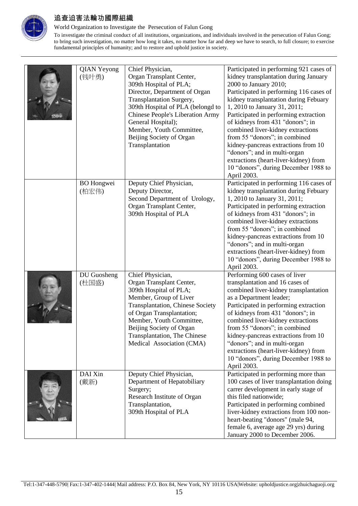

World Organization to Investigate the Persecution of Falun Gong

| <b>QIAN Yeyong</b><br>(钱叶勇) | Chief Physician,<br>Organ Transplant Center,<br>309th Hospital of PLA;<br>Director, Department of Organ<br>Transplantation Surgery,<br>309th Hospital of PLA (belongd to<br><b>Chinese People's Liberation Army</b><br>General Hospital);<br>Member, Youth Committee,<br>Beijing Society of Organ<br>Transplantation | Participated in performing 921 cases of<br>kidney transplantation during January<br>2000 to January 2010;<br>Participated in performing 116 cases of<br>kidney transplantation during Febuary<br>1, 2010 to January 31, 2011;<br>Participated in performing extraction<br>of kidneys from 431 "donors"; in<br>combined liver-kidney extractions<br>from 55 "donors"; in combined<br>kidney-pancreas extractions from 10<br>"donors"; and in multi-organ<br>extractions (heart-liver-kidney) from<br>10 "donors", during December 1988 to<br>April 2003. |
|-----------------------------|----------------------------------------------------------------------------------------------------------------------------------------------------------------------------------------------------------------------------------------------------------------------------------------------------------------------|---------------------------------------------------------------------------------------------------------------------------------------------------------------------------------------------------------------------------------------------------------------------------------------------------------------------------------------------------------------------------------------------------------------------------------------------------------------------------------------------------------------------------------------------------------|
| <b>BO</b> Hongwei<br>(柏宏伟)  | Deputy Chief Physician,<br>Deputy Director,<br>Second Department of Urology,<br>Organ Transplant Center,<br>309th Hospital of PLA                                                                                                                                                                                    | Participated in performing 116 cases of<br>kidney transplantation during Febuary<br>1, 2010 to January 31, 2011;<br>Participated in performing extraction<br>of kidneys from 431 "donors"; in<br>combined liver-kidney extractions<br>from 55 "donors"; in combined<br>kidney-pancreas extractions from 10<br>"donors"; and in multi-organ<br>extractions (heart-liver-kidney) from<br>10 "donors", during December 1988 to<br>April 2003.                                                                                                              |
| DU Guosheng<br>(杜国盛)        | Chief Physician,<br>Organ Transplant Center,<br>309th Hospital of PLA;<br>Member, Group of Liver<br><b>Transplantation, Chinese Society</b><br>of Organ Transplantation;<br>Member, Youth Committee,<br>Beijing Society of Organ<br><b>Transplantation, The Chinese</b><br>Medical Association (CMA)                 | Performing 600 cases of liver<br>transplantation and 16 cases of<br>combined liver-kidney transplantation<br>as a Department leader;<br>Participated in performing extraction<br>of kidneys from 431 "donors"; in<br>combined liver-kidney extractions<br>from 55 "donors"; in combined<br>kidney-pancreas extractions from 10<br>"donors"; and in multi-organ<br>extractions (heart-liver-kidney) from<br>10 "donors", during December 1988 to<br>April 2003.                                                                                          |
| DAI Xin<br>(戴新)             | Deputy Chief Physician,<br>Department of Hepatobiliary<br>Surgery;<br>Research Institute of Organ<br>Transplantation,<br>309th Hospital of PLA                                                                                                                                                                       | Participated in performing more than<br>100 cases of liver transplantation doing<br>carrer development in early stage of<br>this filed nationwide;<br>Participated in performing combined<br>liver-kidney extractions from 100 non-<br>heart-beating "donors" (male 94,<br>female 6, average age 29 yrs) during<br>January 2000 to December 2006.                                                                                                                                                                                                       |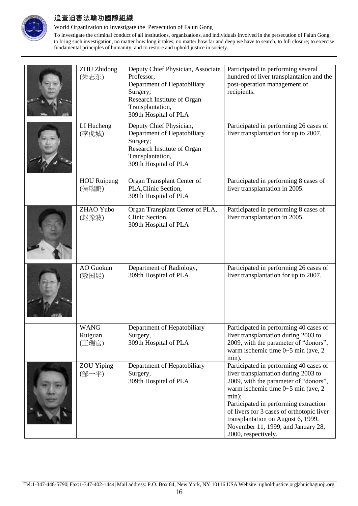

World Organization to Investigate the Persecution of Falun Gong

| <b>ZHU</b> Zhidong<br>(朱志东)     | Deputy Chief Physician, Associate<br>Professor,<br>Department of Hepatobiliary<br>Surgery;<br>Research Institute of Organ<br>Transplantation,<br>309th Hospital of PLA | Participated in performing several<br>hundred of liver transplantation and the<br>post-operation management of<br>recipients.                                                                                                                                                                                                                                           |
|---------------------------------|------------------------------------------------------------------------------------------------------------------------------------------------------------------------|-------------------------------------------------------------------------------------------------------------------------------------------------------------------------------------------------------------------------------------------------------------------------------------------------------------------------------------------------------------------------|
| LI Hucheng<br>(李虎城)             | Deputy Chief Physician,<br>Department of Hepatobiliary<br>Surgery;<br>Research Institute of Organ<br>Transplantation,<br>309th Hospital of PLA                         | Participated in performing 26 cases of<br>liver transplantation for up to 2007.                                                                                                                                                                                                                                                                                         |
| <b>HOU</b> Ruipeng<br>(侯瑞鹏)     | Organ Transplant Center of<br>PLA, Clinic Section,<br>309th Hospital of PLA                                                                                            | Participated in performing 8 cases of<br>liver transplantation in 2005.                                                                                                                                                                                                                                                                                                 |
| ZHAO Yubo<br>(赵豫波)              | Organ Transplant Center of PLA,<br>Clinic Section,<br>309th Hospital of PLA                                                                                            | Participated in performing 8 cases of<br>liver transplantation in 2005.                                                                                                                                                                                                                                                                                                 |
| AO Guokun<br>(敖国昆)              | Department of Radiology,<br>309th Hospital of PLA                                                                                                                      | Participated in performing 26 cases of<br>liver transplantation for up to 2007.                                                                                                                                                                                                                                                                                         |
| <b>WANG</b><br>Ruiguan<br>(王瑞官) | Department of Hepatobiliary<br>Surgery,<br>309th Hospital of PLA                                                                                                       | Participated in performing 40 cases of<br>liver transplantation during 2003 to<br>2009, with the parameter of "donors",<br>warm ischemic time $0\nightharpoonup 5$ min (ave, 2)<br>min).                                                                                                                                                                                |
| <b>ZOU</b> Yiping<br>(邹一平)      | Department of Hepatobiliary<br>Surgery,<br>309th Hospital of PLA                                                                                                       | Participated in performing 40 cases of<br>liver transplantation during 2003 to<br>2009, with the parameter of "donors",<br>warm ischemic time $0 \sim 5$ min (ave, 2)<br>min);<br>Participated in performing extraction<br>of livers for 3 cases of orthotopic liver<br>transplantation on August 6, 1999,<br>November 11, 1999, and January 28,<br>2000, respectively. |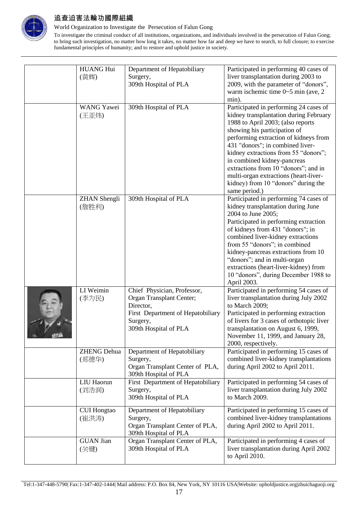

World Organization to Investigate the Persecution of Falun Gong

| <b>HUANG Hui</b><br>Department of Hepatobiliary<br>Participated in performing 40 cases of<br>liver transplantation during 2003 to<br>(黄辉)<br>Surgery,<br>309th Hospital of PLA<br>2009, with the parameter of "donors",<br>warm ischemic time $0 \sim 5$ min (ave, 2)<br>min).<br>Participated in performing 24 cases of<br><b>WANG Yawei</b><br>309th Hospital of PLA |  |
|------------------------------------------------------------------------------------------------------------------------------------------------------------------------------------------------------------------------------------------------------------------------------------------------------------------------------------------------------------------------|--|
|                                                                                                                                                                                                                                                                                                                                                                        |  |
|                                                                                                                                                                                                                                                                                                                                                                        |  |
|                                                                                                                                                                                                                                                                                                                                                                        |  |
|                                                                                                                                                                                                                                                                                                                                                                        |  |
|                                                                                                                                                                                                                                                                                                                                                                        |  |
| kidney transplantation during February<br>(王亚炜)                                                                                                                                                                                                                                                                                                                        |  |
| 1988 to April 2003; (also reports                                                                                                                                                                                                                                                                                                                                      |  |
| showing his participation of                                                                                                                                                                                                                                                                                                                                           |  |
| performing extraction of kidneys from                                                                                                                                                                                                                                                                                                                                  |  |
| 431 "donors"; in combined liver-                                                                                                                                                                                                                                                                                                                                       |  |
| kidney extractions from 55 "donors";                                                                                                                                                                                                                                                                                                                                   |  |
| in combined kidney-pancreas                                                                                                                                                                                                                                                                                                                                            |  |
| extractions from 10 "donors"; and in                                                                                                                                                                                                                                                                                                                                   |  |
| multi-organ extractions (heart-liver-                                                                                                                                                                                                                                                                                                                                  |  |
| kidney) from 10 "donors" during the                                                                                                                                                                                                                                                                                                                                    |  |
| same period.)                                                                                                                                                                                                                                                                                                                                                          |  |
| 309th Hospital of PLA<br>Participated in performing 74 cases of<br><b>ZHAN</b> Shengli                                                                                                                                                                                                                                                                                 |  |
| kidney transplantation during June<br>(詹胜利)                                                                                                                                                                                                                                                                                                                            |  |
| 2004 to June 2005;                                                                                                                                                                                                                                                                                                                                                     |  |
| Participated in performing extraction                                                                                                                                                                                                                                                                                                                                  |  |
| of kidneys from 431 "donors"; in                                                                                                                                                                                                                                                                                                                                       |  |
| combined liver-kidney extractions                                                                                                                                                                                                                                                                                                                                      |  |
| from 55 "donors"; in combined                                                                                                                                                                                                                                                                                                                                          |  |
| kidney-pancreas extractions from 10                                                                                                                                                                                                                                                                                                                                    |  |
| "donors"; and in multi-organ                                                                                                                                                                                                                                                                                                                                           |  |
| extractions (heart-liver-kidney) from                                                                                                                                                                                                                                                                                                                                  |  |
| 10 "donors", during December 1988 to                                                                                                                                                                                                                                                                                                                                   |  |
| April 2003.<br>LI Weimin<br>Participated in performing 54 cases of<br>Chief Physician, Professor,                                                                                                                                                                                                                                                                      |  |
| (李为民)<br>Organ Transplant Center;<br>liver transplantation during July 2002                                                                                                                                                                                                                                                                                            |  |
| Director,<br>to March 2009;                                                                                                                                                                                                                                                                                                                                            |  |
| First Department of Hepatobiliary<br>Participated in performing extraction                                                                                                                                                                                                                                                                                             |  |
| of livers for 3 cases of orthotopic liver<br>Surgery,                                                                                                                                                                                                                                                                                                                  |  |
| 309th Hospital of PLA<br>transplantation on August 6, 1999,                                                                                                                                                                                                                                                                                                            |  |
| $\frac{d^2\mathbf{d}}{d\mathbf{d}}$<br>November 11, 1999, and January 28,                                                                                                                                                                                                                                                                                              |  |
| 2000, respectively.                                                                                                                                                                                                                                                                                                                                                    |  |
| Participated in performing 15 cases of<br><b>ZHENG Dehua</b><br>Department of Hepatobiliary                                                                                                                                                                                                                                                                            |  |
| combined liver-kidney transplantations<br>Surgery,<br>(郑德华)                                                                                                                                                                                                                                                                                                            |  |
| Organ Transplant Center of PLA,<br>during April 2002 to April 2011.                                                                                                                                                                                                                                                                                                    |  |
| 309th Hospital of PLA                                                                                                                                                                                                                                                                                                                                                  |  |
| LIU Haorun<br>First Department of Hepatobiliary<br>Participated in performing 54 cases of                                                                                                                                                                                                                                                                              |  |
| (刘浩润)<br>liver transplantation during July 2002<br>Surgery,                                                                                                                                                                                                                                                                                                            |  |
| 309th Hospital of PLA<br>to March 2009.                                                                                                                                                                                                                                                                                                                                |  |
|                                                                                                                                                                                                                                                                                                                                                                        |  |
|                                                                                                                                                                                                                                                                                                                                                                        |  |
| Department of Hepatobiliary<br>Participated in performing 15 cases of<br><b>CUI Hongtao</b>                                                                                                                                                                                                                                                                            |  |
| combined liver-kidney transplantations<br>Surgery,<br>(崔洪涛)                                                                                                                                                                                                                                                                                                            |  |
| Organ Transplant Center of PLA,<br>during April 2002 to April 2011.                                                                                                                                                                                                                                                                                                    |  |
| 309th Hospital of PLA                                                                                                                                                                                                                                                                                                                                                  |  |
| <b>GUAN Jian</b><br>Organ Transplant Center of PLA,<br>Participated in performing 4 cases of<br>309th Hospital of PLA<br>liver transplantation during April 2002<br>(关键)                                                                                                                                                                                               |  |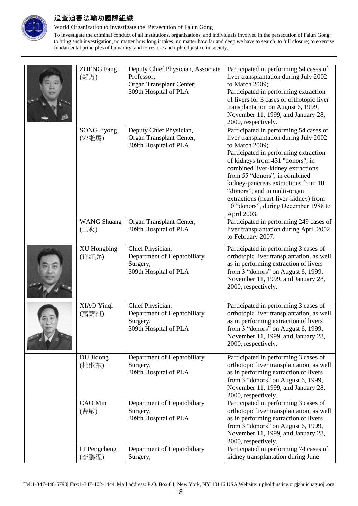

World Organization to Investigate the Persecution of Falun Gong

| <b>ZHENG Fang</b><br>(郑方)   | Deputy Chief Physician, Associate<br>Professor,<br>Organ Transplant Center;<br>309th Hospital of PLA | Participated in performing 54 cases of<br>liver transplantation during July 2002<br>to March 2009;<br>Participated in performing extraction<br>of livers for 3 cases of orthotopic liver<br>transplantation on August 6, 1999,<br>November 11, 1999, and January 28,<br>2000, respectively.                                                                                                                                  |
|-----------------------------|------------------------------------------------------------------------------------------------------|------------------------------------------------------------------------------------------------------------------------------------------------------------------------------------------------------------------------------------------------------------------------------------------------------------------------------------------------------------------------------------------------------------------------------|
| <b>SONG Jiyong</b><br>(宋继勇) | Deputy Chief Physician,<br>Organ Transplant Center,<br>309th Hospital of PLA                         | Participated in performing 54 cases of<br>liver transplantation during July 2002<br>to March 2009;<br>Participated in performing extraction<br>of kidneys from 431 "donors"; in<br>combined liver-kidney extractions<br>from 55 "donors"; in combined<br>kidney-pancreas extractions from 10<br>"donors"; and in multi-organ<br>extractions (heart-liver-kidney) from<br>10 "donors", during December 1988 to<br>April 2003. |
| <b>WANG Shuang</b><br>(王爽)  | Organ Transplant Center,<br>309th Hospital of PLA                                                    | Participated in performing 249 cases of<br>liver transplantation during April 2002<br>to February 2007.                                                                                                                                                                                                                                                                                                                      |
| <b>XU</b> Hongbing<br>(许红兵) | Chief Physician,<br>Department of Hepatobiliary<br>Surgery,<br>309th Hospital of PLA                 | Participated in performing 3 cases of<br>orthotopic liver transplantation, as well<br>as in performing extraction of livers<br>from 3 "donors" on August 6, 1999,<br>November 11, 1999, and January 28,<br>2000, respectively.                                                                                                                                                                                               |
| XIAO Yinqi<br>(萧荫祺)         | Chief Physician,<br>Department of Hepatobiliary<br>Surgery,<br>309th Hospital of PLA                 | Participated in performing 3 cases of<br>orthotopic liver transplantation, as well<br>as in performing extraction of livers<br>from 3 "donors" on August 6, 1999,<br>November 11, 1999, and January 28,<br>2000, respectively.                                                                                                                                                                                               |
| DU Jidong<br>(杜继东)          | Department of Hepatobiliary<br>Surgery,<br>309th Hospital of PLA                                     | Participated in performing 3 cases of<br>orthotopic liver transplantation, as well<br>as in performing extraction of livers<br>from 3 "donors" on August 6, 1999,<br>November 11, 1999, and January 28,<br>2000, respectively.                                                                                                                                                                                               |
| CAO Min<br>(曹敏)             | Department of Hepatobiliary<br>Surgery,<br>309th Hospital of PLA                                     | Participated in performing 3 cases of<br>orthotopic liver transplantation, as well<br>as in performing extraction of livers<br>from 3 "donors" on August 6, 1999,<br>November 11, 1999, and January 28,<br>2000, respectively.                                                                                                                                                                                               |
| LI Pengcheng<br>(李鹏程)       | Department of Hepatobiliary<br>Surgery,                                                              | Participated in performing 74 cases of<br>kidney transplantation during June                                                                                                                                                                                                                                                                                                                                                 |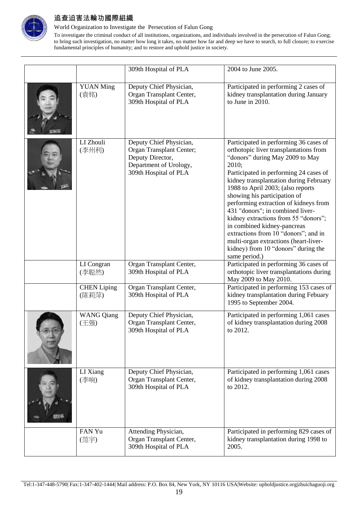

World Organization to Investigate the Persecution of Falun Gong

|                             | 309th Hospital of PLA                                                                                                      | 2004 to June 2005.                                                                                                                                                                                                                                                                                                                                                                                                                                                                                                                                                                 |
|-----------------------------|----------------------------------------------------------------------------------------------------------------------------|------------------------------------------------------------------------------------------------------------------------------------------------------------------------------------------------------------------------------------------------------------------------------------------------------------------------------------------------------------------------------------------------------------------------------------------------------------------------------------------------------------------------------------------------------------------------------------|
| <b>YUAN Ming</b><br>(袁铭)    | Deputy Chief Physician,<br>Organ Transplant Center,<br>309th Hospital of PLA                                               | Participated in performing 2 cases of<br>kidney transplantation during January<br>to June in 2010.                                                                                                                                                                                                                                                                                                                                                                                                                                                                                 |
| LI Zhouli<br>(李州利)          | Deputy Chief Physician,<br>Organ Transplant Center;<br>Deputy Director,<br>Department of Urology,<br>309th Hospital of PLA | Participated in performing 36 cases of<br>orthotopic liver transplantations from<br>"donors" during May 2009 to May<br>2010;<br>Participated in performing 24 cases of<br>kidney transplantation during February<br>1988 to April 2003; (also reports<br>showing his participation of<br>performing extraction of kidneys from<br>431 "donors"; in combined liver-<br>kidney extractions from 55 "donors";<br>in combined kidney-pancreas<br>extractions from 10 "donors"; and in<br>multi-organ extractions (heart-liver-<br>kidney) from 10 "donors" during the<br>same period.) |
| LI Congran<br>(李聪然)         | Organ Transplant Center,<br>309th Hospital of PLA                                                                          | Participated in performing 36 cases of<br>orthotopic liver transplantations during<br>May 2009 to May 2010.                                                                                                                                                                                                                                                                                                                                                                                                                                                                        |
| <b>CHEN</b> Liping<br>(陈莉萍) | Organ Transplant Center,<br>309th Hospital of PLA                                                                          | Participated in performing 153 cases of<br>kidney transplantation during Febuary<br>1995 to September 2004.                                                                                                                                                                                                                                                                                                                                                                                                                                                                        |
| <b>WANG Qiang</b><br>(王强)   | Deputy Chief Physician,<br>Organ Transplant Center,<br>309th Hospital of PLA                                               | Participated in performing 1,061 cases<br>of kidney transplantation during 2008<br>to 2012.                                                                                                                                                                                                                                                                                                                                                                                                                                                                                        |
| LI Xiang<br>(李响)            | Deputy Chief Physician,<br>Organ Transplant Center,<br>309th Hospital of PLA                                               | Participated in performing 1,061 cases<br>of kidney transplantation during 2008<br>to 2012.                                                                                                                                                                                                                                                                                                                                                                                                                                                                                        |
| FAN Yu<br>(范宇)              | Attending Physician,<br>Organ Transplant Center,<br>309th Hospital of PLA                                                  | Participated in performing 829 cases of<br>kidney transplantation during 1998 to<br>2005.                                                                                                                                                                                                                                                                                                                                                                                                                                                                                          |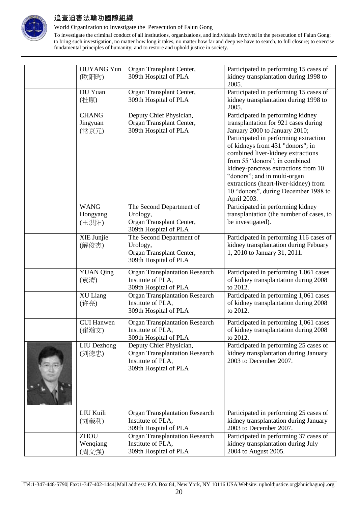

World Organization to Investigate the Persecution of Falun Gong

| <b>OUYANG</b> Yun  | Organ Transplant Center,                                   | Participated in performing 15 cases of                                           |
|--------------------|------------------------------------------------------------|----------------------------------------------------------------------------------|
| (欧阳昀)              | 309th Hospital of PLA                                      | kidney transplantation during 1998 to                                            |
|                    |                                                            | 2005.                                                                            |
| DU Yuan            | Organ Transplant Center,                                   | Participated in performing 15 cases of                                           |
| (杜原)               | 309th Hospital of PLA                                      | kidney transplantation during 1998 to<br>2005.                                   |
| <b>CHANG</b>       | Deputy Chief Physician,                                    | Participated in performing kidney                                                |
| Jingyuan           | Organ Transplant Center,                                   | transplantation for 921 cases during                                             |
| (常京元)              | 309th Hospital of PLA                                      | January 2000 to January 2010;                                                    |
|                    |                                                            | Participated in performing extraction                                            |
|                    |                                                            | of kidneys from 431 "donors"; in                                                 |
|                    |                                                            | combined liver-kidney extractions                                                |
|                    |                                                            | from 55 "donors"; in combined                                                    |
|                    |                                                            | kidney-pancreas extractions from 10                                              |
|                    |                                                            | "donors"; and in multi-organ                                                     |
|                    |                                                            | extractions (heart-liver-kidney) from                                            |
|                    |                                                            | 10 "donors", during December 1988 to                                             |
|                    |                                                            | April 2003.                                                                      |
| <b>WANG</b>        | The Second Department of                                   | Participated in performing kidney                                                |
| Hongyang           | Urology,                                                   | transplantation (the number of cases, to                                         |
| (王洪阳)              | Organ Transplant Center,                                   | be investigated).                                                                |
|                    | 309th Hospital of PLA                                      |                                                                                  |
| XIE Junjie         | The Second Department of<br>Urology,                       | Participated in performing 116 cases of<br>kidney transplantation during Febuary |
| (解俊杰)              | Organ Transplant Center,                                   | 1, 2010 to January 31, 2011.                                                     |
|                    | 309th Hospital of PLA                                      |                                                                                  |
|                    |                                                            |                                                                                  |
| <b>YUAN Qing</b>   | <b>Organ Transplantation Research</b>                      | Participated in performing 1,061 cases                                           |
| (袁清)               | Institute of PLA,                                          | of kidney transplantation during 2008                                            |
|                    | 309th Hospital of PLA                                      | to 2012.                                                                         |
| XU Liang           | <b>Organ Transplantation Research</b><br>Institute of PLA, | Participated in performing 1,061 cases<br>of kidney transplantation during 2008  |
| (许亮)               | 309th Hospital of PLA                                      | to 2012.                                                                         |
|                    |                                                            |                                                                                  |
| <b>CUI Hanwen</b>  | <b>Organ Transplantation Research</b>                      | Participated in performing 1,061 cases                                           |
| (崔瀚文)              | Institute of PLA,                                          | of kidney transplantation during 2008                                            |
|                    | 309th Hospital of PLA                                      | to 2012.                                                                         |
| <b>LIU</b> Dezhong | Deputy Chief Physician,                                    | Participated in performing 25 cases of                                           |
| (刘德忠)              | <b>Organ Transplantation Research</b><br>Institute of PLA, | kidney transplantation during January<br>2003 to December 2007.                  |
|                    | 309th Hospital of PLA                                      |                                                                                  |
|                    |                                                            |                                                                                  |
|                    |                                                            |                                                                                  |
|                    |                                                            |                                                                                  |
|                    |                                                            |                                                                                  |
|                    |                                                            |                                                                                  |
| LIU Kuili          | <b>Organ Transplantation Research</b>                      | Participated in performing 25 cases of                                           |
| (刘奎利)              | Institute of PLA,                                          | kidney transplantation during January                                            |
|                    | 309th Hospital of PLA                                      | 2003 to December 2007.                                                           |
| <b>ZHOU</b>        | <b>Organ Transplantation Research</b>                      | Participated in performing 37 cases of                                           |
| Wenqiang           | Institute of PLA,                                          | kidney transplantation during July                                               |
| (周文强)              | 309th Hospital of PLA                                      | 2004 to August 2005.                                                             |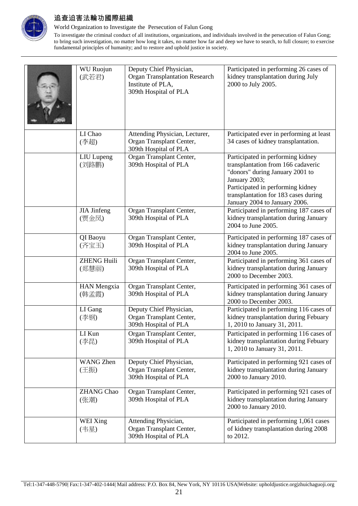

World Organization to Investigate the Persecution of Falun Gong

| <b>WU Ruojun</b><br>(武若君)   | Deputy Chief Physician,<br><b>Organ Transplantation Research</b><br>Institute of PLA,<br>309th Hospital of PLA | Participated in performing 26 cases of<br>kidney transplantation during July<br>2000 to July 2005.                                                                                                                                        |
|-----------------------------|----------------------------------------------------------------------------------------------------------------|-------------------------------------------------------------------------------------------------------------------------------------------------------------------------------------------------------------------------------------------|
| LI Chao<br>(李超)             | Attending Physician, Lecturer,<br>Organ Transplant Center,<br>309th Hospital of PLA                            | Participated ever in performing at least<br>34 cases of kidney transplantation.                                                                                                                                                           |
| <b>LIU</b> Lupeng<br>(刘路鹏)  | Organ Transplant Center,<br>309th Hospital of PLA                                                              | Participated in performing kidney<br>transplantation from 166 cadaveric<br>"donors" during January 2001 to<br>January 2003;<br>Participated in performing kidney<br>transplantation for 183 cases during<br>January 2004 to January 2006. |
| <b>JIA</b> Jinfeng<br>(贾金凤) | Organ Transplant Center,<br>309th Hospital of PLA                                                              | Participated in performing 187 cases of<br>kidney transplantation during January<br>2004 to June 2005.                                                                                                                                    |
| QI Baoyu<br>(齐宝玉)           | Organ Transplant Center,<br>309th Hospital of PLA                                                              | Participated in performing 187 cases of<br>kidney transplantation during January<br>2004 to June 2005.                                                                                                                                    |
| <b>ZHENG Huili</b><br>(郑慧丽) | Organ Transplant Center,<br>309th Hospital of PLA                                                              | Participated in performing 361 cases of<br>kidney transplantation during January<br>2000 to December 2003.                                                                                                                                |
| <b>HAN Mengxia</b><br>(韩孟霞) | Organ Transplant Center,<br>309th Hospital of PLA                                                              | Participated in performing 361 cases of<br>kidney transplantation during January<br>2000 to December 2003.                                                                                                                                |
| LI Gang<br>(李钢)             | Deputy Chief Physician,<br>Organ Transplant Center,<br>309th Hospital of PLA                                   | Participated in performing 116 cases of<br>kidney transplantation during Febuary<br>1, 2010 to January 31, 2011.                                                                                                                          |
| LI Kun<br>(李昆)              | Organ Transplant Center,<br>309th Hospital of PLA                                                              | Participated in performing 116 cases of<br>kidney transplantation during Febuary<br>1, 2010 to January 31, 2011.                                                                                                                          |
| <b>WANG Zhen</b><br>(王振)    | Deputy Chief Physician,<br>Organ Transplant Center,<br>309th Hospital of PLA                                   | Participated in performing 921 cases of<br>kidney transplantation during January<br>2000 to January 2010.                                                                                                                                 |
| <b>ZHANG Chao</b><br>(张潮)   | Organ Transplant Center,<br>309th Hospital of PLA                                                              | Participated in performing 921 cases of<br>kidney transplantation during January<br>2000 to January 2010.                                                                                                                                 |
| WEI Xing<br>(韦星)            | Attending Physician,<br>Organ Transplant Center,<br>309th Hospital of PLA                                      | Participated in performing 1,061 cases<br>of kidney transplantation during 2008<br>to 2012.                                                                                                                                               |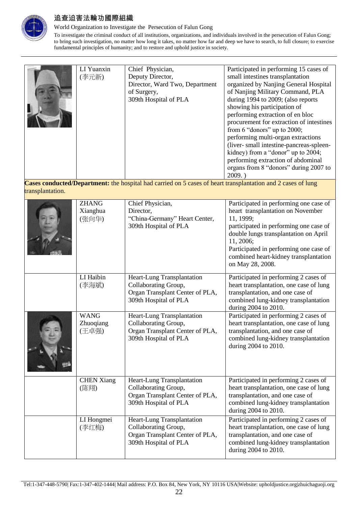

World Organization to Investigate the Persecution of Falun Gong

To investigate the criminal conduct of all institutions, organizations, and individuals involved in the persecution of Falun Gong; to bring such investigation, no matter how long it takes, no matter how far and deep we have to search, to full closure; to exercise fundamental principles of humanity; and to restore and uphold justice in society.

| LI Yuanxin<br>(李元新) | Chief Physician,<br>Deputy Director,<br>Director, Ward Two, Department<br>of Surgery,<br>309th Hospital of PLA | Participated in performing 15 cases of<br>small intestines transplantation<br>organized by Nanjing General Hospital<br>of Nanjing Military Command, PLA<br>during 1994 to 2009; (also reports<br>showing his participation of<br>performing extraction of en bloc<br>procurement for extraction of intestines<br>from 6 "donors" up to 2000;<br>performing multi-organ extractions<br>(liver- small intestine-pancreas-spleen-<br>kidney) from a "donor" up to 2004;<br>performing extraction of abdominal |
|---------------------|----------------------------------------------------------------------------------------------------------------|------------------------------------------------------------------------------------------------------------------------------------------------------------------------------------------------------------------------------------------------------------------------------------------------------------------------------------------------------------------------------------------------------------------------------------------------------------------------------------------------------------|
|                     |                                                                                                                | organs from 8 "donors" during 2007 to<br>2009.                                                                                                                                                                                                                                                                                                                                                                                                                                                             |

**Cases conducted/Department:** the hospital had carried on 5 cases of heart transplantation and 2 cases of lung transplantation.

| <b>ZHANG</b><br>Xianghua<br>(张向华) | Chief Physician,<br>Director,<br>"China-Germany" Heart Center,<br>309th Hospital of PLA                        | Participated in performing one case of<br>heart transplantation on November<br>11, 1999;<br>participated in performing one case of<br>double lungs transplantation on April<br>11, 2006;<br>Participated in performing one case of<br>combined heart-kidney transplantation<br>on May 28, 2008. |
|-----------------------------------|----------------------------------------------------------------------------------------------------------------|-------------------------------------------------------------------------------------------------------------------------------------------------------------------------------------------------------------------------------------------------------------------------------------------------|
| LI Haibin<br>(李海斌)                | Heart-Lung Transplantation<br>Collaborating Group,<br>Organ Transplant Center of PLA,<br>309th Hospital of PLA | Participated in performing 2 cases of<br>heart transplantation, one case of lung<br>transplantation, and one case of<br>combined lung-kidney transplantation<br>during 2004 to 2010.                                                                                                            |
| <b>WANG</b><br>Zhuoqiang<br>(王卓强) | Heart-Lung Transplantation<br>Collaborating Group,<br>Organ Transplant Center of PLA,<br>309th Hospital of PLA | Participated in performing 2 cases of<br>heart transplantation, one case of lung<br>transplantation, and one case of<br>combined lung-kidney transplantation<br>during 2004 to 2010.                                                                                                            |
| <b>CHEN Xiang</b><br>(陈翔)         | Heart-Lung Transplantation<br>Collaborating Group,<br>Organ Transplant Center of PLA,<br>309th Hospital of PLA | Participated in performing 2 cases of<br>heart transplantation, one case of lung<br>transplantation, and one case of<br>combined lung-kidney transplantation<br>during 2004 to 2010.                                                                                                            |
| LI Hongmei<br>(李红梅)               | Heart-Lung Transplantation<br>Collaborating Group,<br>Organ Transplant Center of PLA,<br>309th Hospital of PLA | Participated in performing 2 cases of<br>heart transplantation, one case of lung<br>transplantation, and one case of<br>combined lung-kidney transplantation<br>during 2004 to 2010.                                                                                                            |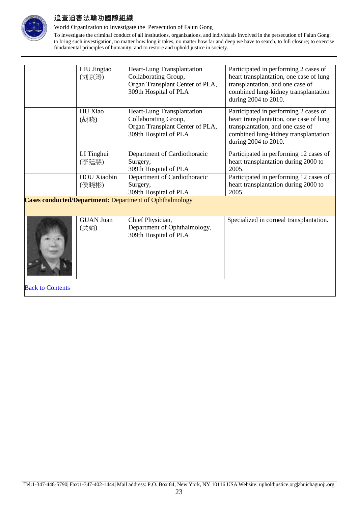

World Organization to Investigate the Persecution of Falun Gong

To investigate the criminal conduct of all institutions, organizations, and individuals involved in the persecution of Falun Gong; to bring such investigation, no matter how long it takes, no matter how far and deep we have to search, to full closure; to exercise fundamental principles of humanity; and to restore and uphold justice in society.

|                                                                | LIU Jingtao<br>(刘京涛)        | Heart-Lung Transplantation<br>Collaborating Group,<br>Organ Transplant Center of PLA,<br>309th Hospital of PLA | Participated in performing 2 cases of<br>heart transplantation, one case of lung<br>transplantation, and one case of<br>combined lung-kidney transplantation<br>during 2004 to 2010. |
|----------------------------------------------------------------|-----------------------------|----------------------------------------------------------------------------------------------------------------|--------------------------------------------------------------------------------------------------------------------------------------------------------------------------------------|
|                                                                | HU Xiao<br>(胡晓)             | Heart-Lung Transplantation<br>Collaborating Group,<br>Organ Transplant Center of PLA,<br>309th Hospital of PLA | Participated in performing 2 cases of<br>heart transplantation, one case of lung<br>transplantation, and one case of<br>combined lung-kidney transplantation<br>during 2004 to 2010. |
|                                                                | LI Tinghui<br>(李廷慧)         | Department of Cardiothoracic<br>Surgery,<br>309th Hospital of PLA                                              | Participated in performing 12 cases of<br>heart transplantation during 2000 to<br>2005.                                                                                              |
|                                                                | <b>HOU Xiaobin</b><br>(侯晓彬) | Department of Cardiothoracic<br>Surgery,<br>309th Hospital of PLA                                              | Participated in performing 12 cases of<br>heart transplantation during 2000 to<br>2005.                                                                                              |
| <b>Cases conducted/Department:</b> Department of Ophthalmology |                             |                                                                                                                |                                                                                                                                                                                      |
|                                                                | <b>GUAN Juan</b><br>(关娟)    | Chief Physician,<br>Department of Ophthalmology,<br>309th Hospital of PLA                                      | Specialized in corneal transplantation.                                                                                                                                              |

**Back to Contents**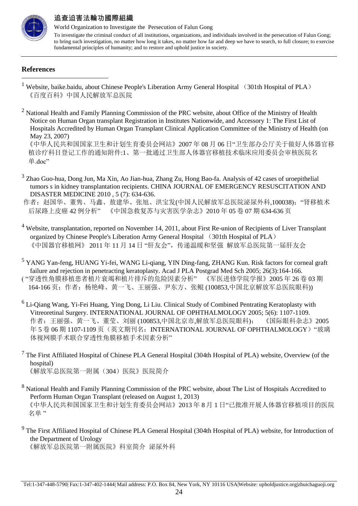

World Organization to Investigate the Persecution of Falun Gong To investigate the criminal conduct of all institutions, organizations, and individuals involved in the persecution of Falun Gong; to bring such investigation, no matter how long it takes, no matter how far and deep we have to search, to full closure; to exercise fundamental principles of humanity; and to restore and uphold justice in society.

#### **References**

-

 $2$  National Health and Family Planning Commission of the PRC website, about Office of the Ministry of Health Notice on Human Organ transplant Registration in Institutes Nationwide, and Accessory 1: The First List of Hospitals Accredited by Human Organ Transplant Clinical Application Committee of the Ministry of Health (on May 23, 2007)

 《中华人民共和国国家卫生和计划生育委员会网站》2007 年 08 月 06 日"卫生部办公厅关于做好人体器官移 植诊疗科目登记工作的通知附件:1、第一批通过卫生部人体器官移植技术临床应用委员会审核医院名 单.doc"

<sup>3</sup> Zhao Guo-hua, Dong Jun, Ma Xin, Ao Jian-hua, Zhang Zu, Hong Bao-fa. Analysis of 42 cases of uroepithelial tumors s in kidney transplantation recipients. CHINA JOURNAL OF EMERGENCY RESUSCITATION AND DISASTER MEDICINE 2010 , 5 (7): 634-636.

作者: 赵国华、董隽、马鑫、敖建华、张旭、洪宝发(中国人民解放军总医院泌尿外科,100038); "肾移植术 后尿路上皮癌 42 例分析" 《中国急救复苏与灾害医学杂志》2010 年 05 卷 07 期 634-636 页

- <sup>4</sup> Website, transplantation, reported on November 14, 2011, about First Re-union of Recipients of Liver Transplant organized by Chinese People's Liberation Army General Hospital (301th Hospital of PLA) 《中国器官移植网》 2011 年 11 月 14 日 "肝友会",传递温暖和坚强 解放军总医院第一届肝友会
- <sup>5</sup> YANG Yan-feng, HUANG Yi-fei, WANG Li-qiang, YIN Ding-fang, ZHANG Kun. Risk factors for corneal graft failure and rejection in penetracting keratoplasty. Acad J PLA Postgrad Med Sch 2005; 26(3):164-166. ( "穿透性角膜移植患者植片衰竭和植片排斥的危险因素分析" 《军医进修学院学报》2005 年 26 卷 03 期 164-166 页;作者:杨艳峰、黄一飞、王丽强、尹东方、张鲲 (100853,中国北京解放军总医院眼科))
- <sup>6</sup> Li-Qiang Wang, Yi-Fei Huang, Ying Dong, Li Liu. Clinical Study of Combined Pentrating Keratoplasty with Vitreoretinal Surgery. INTERNATIONAL JOURNAL OF OPHTHALMOLOGY 2005; 5(6): 1107-1109. 作者:王丽强、黄一飞、董莹、刘丽 (100853,中国北京市,解放军总医院眼科); 《国际眼科杂志》2005 年 5 卷 06 期 1107-1109 页(英文期刊名: INTERNATIONAL JOURNAL OF OPHTHALMOLOGY) "玻璃 体视网膜手术联合穿透性角膜移植手术因素分析"
- $7$  The First Affiliated Hospital of Chinese PLA General Hospital (304th Hospital of PLA) website, Overview (of the hospital) 《解放军总医院第一附属(304)医院》医院简介
- <sup>8</sup> National Health and Family Planning Commission of the PRC website, about The List of Hospitals Accredited to Perform Human Organ Transplant (released on August 1, 2013) 《中华人民共和国国家卫生和计划生育委员会网站》2013 年 8 月 1 日"已批准开展人体器官移植项目的医院 名单"
- <sup>9</sup> The First Affiliated Hospital of Chinese PLA General Hospital (304th Hospital of PLA) website, for Introduction of the Department of Urology

《解放军总医院第一附属医院》科室简介 泌尿外科

<sup>&</sup>lt;sup>1</sup> Website, baike.baidu, about Chinese People's Liberation Army General Hospital (301th Hospital of PLA) 《百度百科》中国人民解放军总医院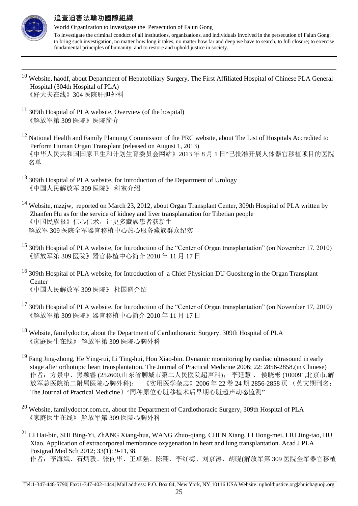

-

### 追查迫害法輪功國際組織

- <sup>10</sup> Website, haodf, about Department of Hepatobiliary Surgery, The First Affiliated Hospital of Chinese PLA General Hospital (304th Hospital of PLA) 《好大夫在线》304 医院肝胆外科
- <sup>11</sup> 309th Hospital of PLA website, Overview (of the hospital) 《解放军第 309 医院》医院简介
- <sup>12</sup> National Health and Family Planning Commission of the PRC website, about The List of Hospitals Accredited to Perform Human Organ Transplant (released on August 1, 2013) 《中华人民共和国国家卫生和计划生育委员会网站》2013 年 8 月 1 日"已批准开展人体器官移植项目的医院 名单
- <sup>13</sup> 309th Hospital of PLA website, for Introduction of the Department of Urology 《中国人民解放军 309 医院》 科室介绍
- <sup>14</sup> Website, mzzjw, reported on March 23, 2012, about Organ Transplant Center, 309th Hospital of PLA written by Zhanfen Hu as for the service of kidney and liver transplantation for Tibetian people 《中国民族报》仁心仁术,让更多藏族患者获新生 解放军 309 医院全军器官移植中心热心服务藏族群众纪实
- <sup>15</sup> 309th Hospital of PLA website, for Introduction of the "Center of Organ transplantation" (on November 17, 2010) 《解放军第 309 医院》器官移植中心简介 2010 年 11 月 17 日
- <sup>16</sup> 309th Hospital of PLA website, for Introduction of a Chief Physician DU Guosheng in the Organ Transplant Center 《中国人民解放军 309 医院》 杜国盛介绍
- <sup>17</sup> 309th Hospital of PLA website, for Introduction of the "Center of Organ transplantation" (on November 17, 2010) 《解放军第 309 医院》器官移植中心简介 2010 年 11 月 17 日
- <sup>18</sup> Website, familydoctor, about the Department of Cardiothoracic Surgery, 309th Hospital of PLA 《家庭医生在线》 解放军第 309 医院心胸外科
- <sup>19</sup> Fang Jing-zhong, He Ying-rui, Li Ting-hui, Hou Xiao-bin. Dynamic mornitoring by cardiac ultrasound in early stage after orthotopic heart transplantation. The Journal of Practical Medicine 2006; 22: 2856-2858.(in Chinese) 作者:方景中、黑颖睿 (252600,山东省聊城市第二人民医院超声科); 李廷慧 、 侯晓彬 (100091,北京市,解 放军总医院第二附属医院心胸外科); 《实用医学杂志》2006 年 22 卷 24 期 2856-2858 页 (英文期刊名: The Journal of Practical Medicine)"同种原位心脏移植术后早期心脏超声动态监测"
- <sup>20</sup> Website, familydoctor.com.cn, about the Department of Cardiothoracic Surgery, 309th Hospital of PLA 《家庭医生在线》 解放军第 309 医院心胸外科
- <sup>21</sup> LI Hai-bin, SHI Bing-Yi, ZhANG Xiang-hua, WANG Zhuo-qiang, CHEN Xiang, LI Hong-mei, LIU Jing-tao, HU Xiao. Application of extracorporeal membrance oxygenation in heart and lung transplantation. Acad J PLA Postgrad Med Sch 2012; 33(1): 9-11,38. 作者:李海斌、石炳毅、张向华、王卓强、陈翔、李红梅、刘京涛、胡晓(解放军第 309 医院全军器官移植